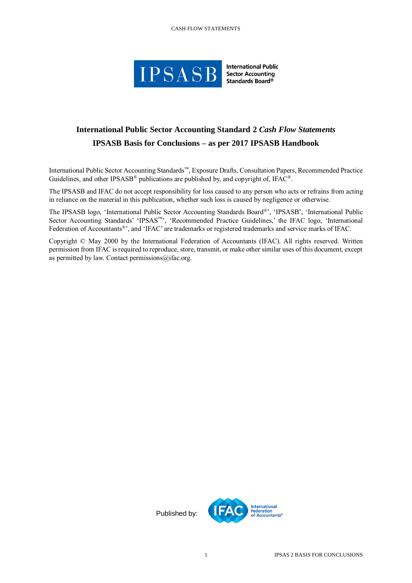#### CASH FLOW STATEMENTS



**International Public Sector Accounting** Standards Board<sup>®</sup>

# **International Public Sector Accounting Standard 2** *Cash Flow Statements* **IPSASB Basis for Conclusions – as per 2017 IPSASB Handbook**

International Public Sector Accounting Standards™, Exposure Drafts, Consultation Papers, Recommended Practice Guidelines, and other IPSASB<sup>®</sup> publications are published by, and copyright of, IFAC<sup>®</sup>.

The IPSASB and IFAC do not accept responsibility for loss caused to any person who acts or refrains from acting in reliance on the material in this publication, whether such loss is caused by negligence or otherwise.

The IPSASB logo, 'International Public Sector Accounting Standards Board®', 'IPSASB', 'International Public Sector Accounting Standards' 'IPSAS™', 'Recommended Practice Guidelines,' the IFAC logo, 'International Federation of Accountants®', and 'IFAC' are trademarks or registered trademarks and service marks of IFAC.

Copyright © May 2000 by the International Federation of Accountants (IFAC). All rights reserved. Written permission from IFAC is required to reproduce, store, transmit, or make other similar uses of this document, except as permitted by law. Contact permissions $@$ ifac.org.

Published by: